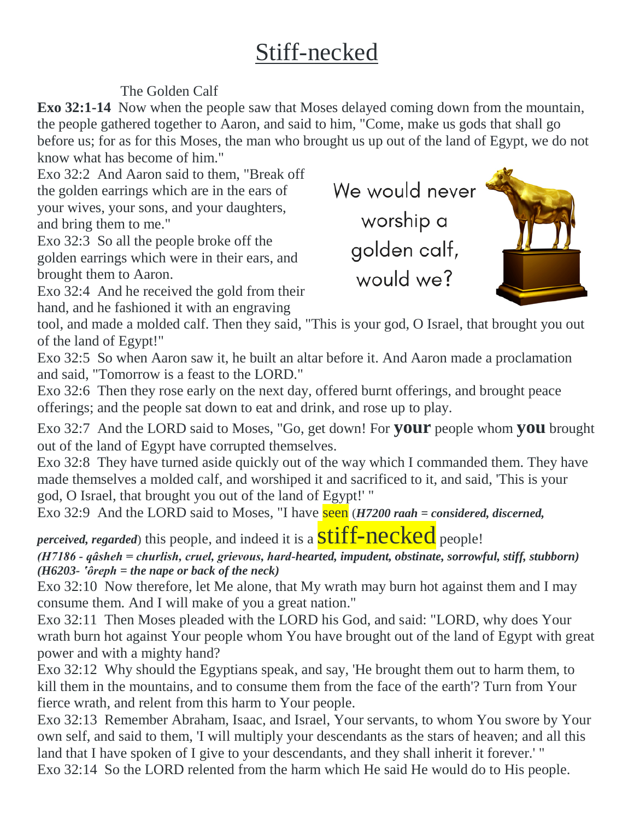## Stiff-necked

### The Golden Calf

**Exo 32:1-14** Now when the people saw that Moses delayed coming down from the mountain, the people gathered together to Aaron, and said to him, "Come, make us gods that shall go before us; for as for this Moses, the man who brought us up out of the land of Egypt, we do not know what has become of him."

Exo 32:2 And Aaron said to them, "Break off the golden earrings which are in the ears of your wives, your sons, and your daughters, and bring them to me."

Exo 32:3 So all the people broke off the golden earrings which were in their ears, and brought them to Aaron.

Exo 32:4 And he received the gold from their hand, and he fashioned it with an engraving

We would never worship a golden calf, would we?



tool, and made a molded calf. Then they said, "This is your god, O Israel, that brought you out of the land of Egypt!"

Exo 32:5 So when Aaron saw it, he built an altar before it. And Aaron made a proclamation and said, "Tomorrow is a feast to the LORD."

Exo 32:6 Then they rose early on the next day, offered burnt offerings, and brought peace offerings; and the people sat down to eat and drink, and rose up to play.

Exo 32:7 And the LORD said to Moses, "Go, get down! For **your** people whom **you** brought out of the land of Egypt have corrupted themselves.

Exo 32:8 They have turned aside quickly out of the way which I commanded them. They have made themselves a molded calf, and worshiped it and sacrificed to it, and said, 'This is your god, O Israel, that brought you out of the land of Egypt!' "

Exo 32:9 And the LORD said to Moses, "I have **seen** (*H7200 raah = considered, discerned,* 

*perceived, regarded*) this people, and indeed it is a **Stiff-necked** people!

*(H7186 - qâsheh = churlish, cruel, grievous, hard-hearted, impudent, obstinate, sorrowful, stiff, stubborn)*  $(H6203-$  *'* $ôreph = the$  nape or back of the neck)

Exo 32:10 Now therefore, let Me alone, that My wrath may burn hot against them and I may consume them. And I will make of you a great nation."

Exo 32:11 Then Moses pleaded with the LORD his God, and said: "LORD, why does Your wrath burn hot against Your people whom You have brought out of the land of Egypt with great power and with a mighty hand?

Exo 32:12 Why should the Egyptians speak, and say, 'He brought them out to harm them, to kill them in the mountains, and to consume them from the face of the earth'? Turn from Your fierce wrath, and relent from this harm to Your people.

Exo 32:13 Remember Abraham, Isaac, and Israel, Your servants, to whom You swore by Your own self, and said to them, 'I will multiply your descendants as the stars of heaven; and all this land that I have spoken of I give to your descendants, and they shall inherit it forever.' " Exo 32:14 So the LORD relented from the harm which He said He would do to His people.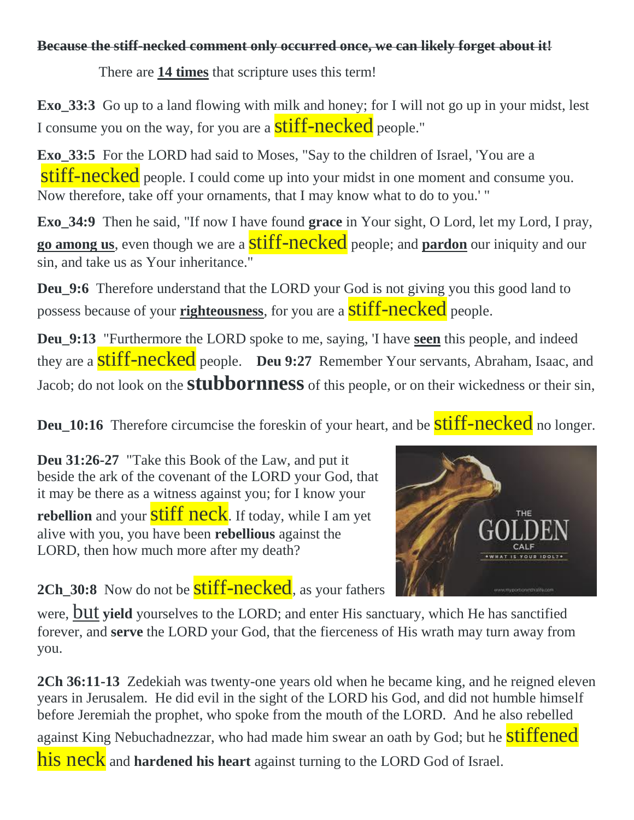### **Because the stiff-necked comment only occurred once, we can likely forget about it!**

There are **14 times** that scripture uses this term!

**Exo\_33:3** Go up to a land flowing with milk and honey; for I will not go up in your midst, lest I consume you on the way, for you are a **stiff-necked** people."

**Exo\_33:5** For the LORD had said to Moses, "Say to the children of Israel, 'You are a stiff-necked people. I could come up into your midst in one moment and consume you. Now therefore, take off your ornaments, that I may know what to do to you.' "

**Exo\_34:9** Then he said, "If now I have found **grace** in Your sight, O Lord, let my Lord, I pray, **go among us**, even though we are a **Stiff-necked** people; and **pardon** our iniquity and our sin, and take us as Your inheritance."

**Deu\_9:6** Therefore understand that the LORD your God is not giving you this good land to possess because of your **righteousness**, for you are a stiff-necked people.

**Deu\_9:13** "Furthermore the LORD spoke to me, saying, 'I have **seen** this people, and indeed they are a **stiff-necked** people. **Deu 9:27** Remember Your servants, Abraham, Isaac, and Jacob; do not look on the **stubbornness** of this people, or on their wickedness or their sin,

**Deu\_10:16** Therefore circumcise the foreskin of your heart, and be **stiff-necked** no longer.

**Deu 31:26-27** "Take this Book of the Law, and put it beside the ark of the covenant of the LORD your God, that it may be there as a witness against you; for I know your **rebellion** and your **stiff neck**. If today, while I am yet alive with you, you have been **rebellious** against the LORD, then how much more after my death?



**2Ch\_30:8** Now do not be **stiff-necked**, as your fathers

were, but **yield** yourselves to the LORD; and enter His sanctuary, which He has sanctified forever, and **serve** the LORD your God, that the fierceness of His wrath may turn away from you.

**2Ch 36:11-13** Zedekiah was twenty-one years old when he became king, and he reigned eleven years in Jerusalem. He did evil in the sight of the LORD his God, and did not humble himself before Jeremiah the prophet, who spoke from the mouth of the LORD. And he also rebelled against King Nebuchadnezzar, who had made him swear an oath by God; but he **stiffened** his neck and hardened his heart against turning to the LORD God of Israel.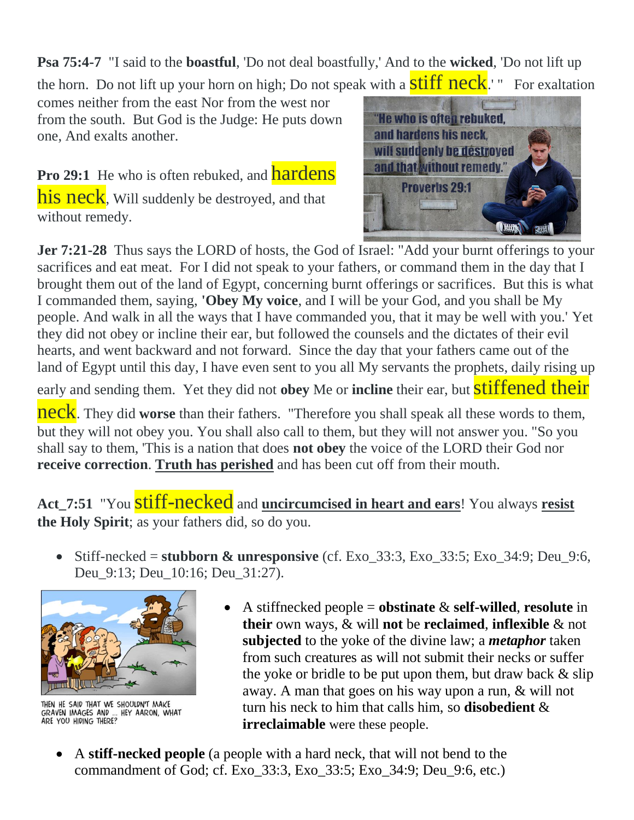**Psa 75:4-7** "I said to the **boastful**, 'Do not deal boastfully,' And to the **wicked**, 'Do not lift up the horn. Do not lift up your horn on high; Do not speak with a  $\frac{\text{stiff}}{\text{neck}}$ .' " For exaltation

comes neither from the east Nor from the west nor from the south. But God is the Judge: He puts down one, And exalts another.

Pro 29:1 He who is often rebuked, and **hardens** his neck, Will suddenly be destroyed, and that without remedy.



**Jer 7:21-28** Thus says the LORD of hosts, the God of Israel: "Add your burnt offerings to your sacrifices and eat meat. For I did not speak to your fathers, or command them in the day that I brought them out of the land of Egypt, concerning burnt offerings or sacrifices. But this is what I commanded them, saying, **'Obey My voice**, and I will be your God, and you shall be My people. And walk in all the ways that I have commanded you, that it may be well with you.' Yet they did not obey or incline their ear, but followed the counsels and the dictates of their evil hearts, and went backward and not forward. Since the day that your fathers came out of the land of Egypt until this day, I have even sent to you all My servants the prophets, daily rising up

early and sending them. Yet they did not obey Me or *incline* their ear, but **stiffened their** 

**neck**. They did **worse** than their fathers. "Therefore you shall speak all these words to them, but they will not obey you. You shall also call to them, but they will not answer you. "So you shall say to them, 'This is a nation that does **not obey** the voice of the LORD their God nor **receive correction**. **Truth has perished** and has been cut off from their mouth.

Act\_7:51 "You **stiff-necked** and **uncircumcised in heart and ears**! You always **resist the Holy Spirit**; as your fathers did, so do you.

 Stiff-necked = **stubborn & unresponsive** (cf. Exo\_33:3, Exo\_33:5; Exo\_34:9; Deu\_9:6, Deu 9:13; Deu 10:16; Deu 31:27).



THEN HE SAID THAT WE SHOULDN'T MAKE<br>GRAVEN IMAGES AND ... HEY AARON, WHAT<br>ARE YOU HIDING THERE?

- A stiffnecked people = **obstinate** & **self-willed**, **resolute** in **their** own ways, & will **not** be **reclaimed**, **inflexible** & not **subjected** to the yoke of the divine law; a *metaphor* taken from such creatures as will not submit their necks or suffer the yoke or bridle to be put upon them, but draw back  $\&$  slip away. A man that goes on his way upon a run, & will not turn his neck to him that calls him, so **disobedient** & **irreclaimable** were these people.
- A **stiff-necked people** (a people with a hard neck, that will not bend to the commandment of God; cf. Exo\_33:3, Exo\_33:5; Exo\_34:9; Deu\_9:6, etc.)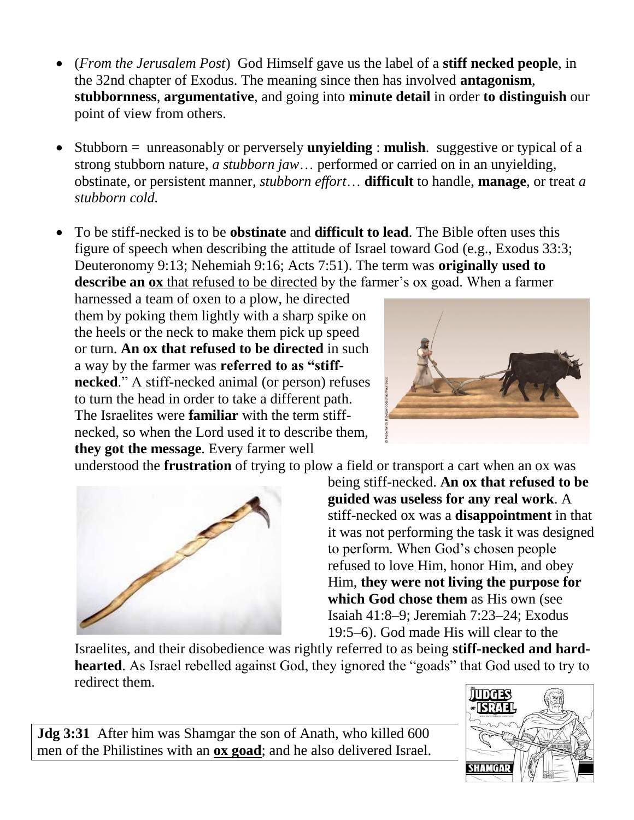- (*From the Jerusalem Post*) God Himself gave us the label of a **stiff necked people**, in the 32nd chapter of Exodus. The meaning since then has involved **antagonism**, **stubbornness**, **argumentative**, and going into **minute detail** in order **to distinguish** our point of view from others.
- Stubborn = unreasonably or perversely **unyielding** : **mulish**. suggestive or typical of a strong stubborn nature, *a stubborn jaw*… performed or carried on in an unyielding, obstinate, or persistent manner, *stubborn effort*… **difficult** to handle, **manage**, or treat *a stubborn cold.*
- To be stiff-necked is to be **obstinate** and **difficult to lead**. The Bible often uses this figure of speech when describing the attitude of Israel toward God (e.g., Exodus 33:3; Deuteronomy 9:13; Nehemiah 9:16; Acts 7:51). The term was **originally used to describe an ox** that refused to be directed by the farmer's ox goad. When a farmer

harnessed a team of oxen to a plow, he directed them by poking them lightly with a sharp spike on the heels or the neck to make them pick up speed or turn. **An ox that refused to be directed** in such a way by the farmer was **referred to as "stiffnecked**." A stiff-necked animal (or person) refuses to turn the head in order to take a different path. The Israelites were **familiar** with the term stiffnecked, so when the Lord used it to describe them, **they got the message**. Every farmer well



understood the **frustration** of trying to plow a field or transport a cart when an ox was



being stiff-necked. **An ox that refused to be guided was useless for any real work**. A stiff-necked ox was a **disappointment** in that it was not performing the task it was designed to perform. When God's chosen people refused to love Him, honor Him, and obey Him, **they were not living the purpose for which God chose them** as His own (see Isaiah 41:8–9; Jeremiah 7:23–24; Exodus 19:5–6). God made His will clear to the

Israelites, and their disobedience was rightly referred to as being **stiff-necked and hardhearted**. As Israel rebelled against God, they ignored the "goads" that God used to try to redirect them.

**Jdg 3:31** After him was Shamgar the son of Anath, who killed 600 men of the Philistines with an **ox goad**; and he also delivered Israel.

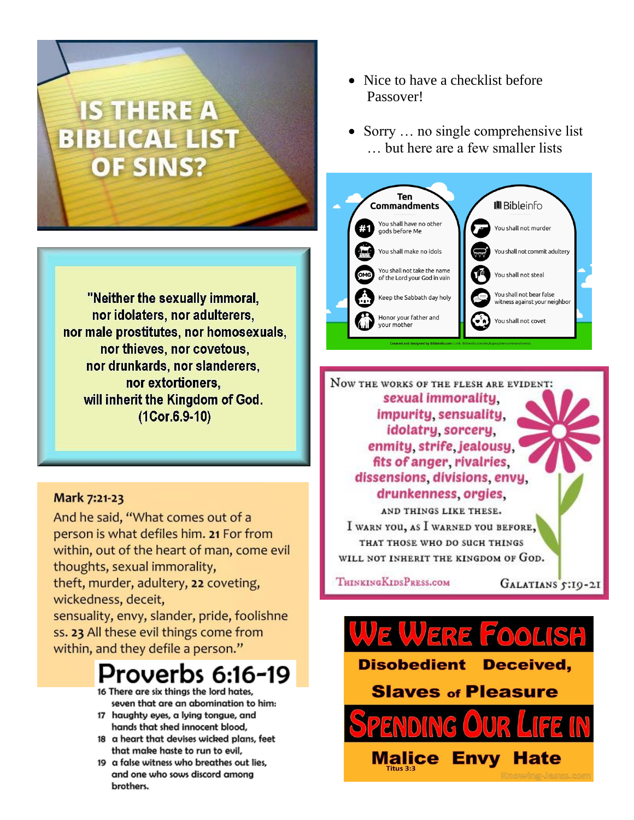# **IS THERE A BIBLICAL LIST OF SINS?**

"Neither the sexually immoral, nor idolaters, nor adulterers, nor male prostitutes, nor homosexuals, nor thieves, nor covetous, nor drunkards, nor slanderers, nor extortioners. will inherit the Kingdom of God.  $(1Cor.6.9-10)$ 

#### Mark 7:21-23

And he said, "What comes out of a person is what defiles him. 21 For from within, out of the heart of man, come evil thoughts, sexual immorality, theft, murder, adultery, 22 coveting, wickedness, deceit, sensuality, envy, slander, pride, foolishne ss. 23 All these evil things come from within, and they defile a person."

## Proverbs 6:16-19

- 16 There are six thinas the lord hates. seven that are an abomination to him:
- 17 haughty eyes, a lying tongue, and hands that shed innocent blood,
- 18 a heart that devises wicked plans, feet that make haste to run to evil,
- 19 a false witness who breathes out lies, and one who sows discord among brothers.
- Nice to have a checklist before Passover!
- Sorry  $\ldots$  no single comprehensive list ... but here are a few smaller lists



NOW THE WORKS OF THE FLESH ARE EVIDENT: sexual immorality. impurity sensuality. idolatry sorcery. enmity strife jealousy. fits of anger, rivalries, dissensions divisions envy drunkenness orgies AND THINGS LIKE THESE. I WARN YOU, AS I WARNED YOU BEFORE,

THAT THOSE WHO DO SUCH THINGS WILL NOT INHERIT THE KINGDOM OF GOD.

THINKINGKIDSPRESS.COM

**Malice** 

GALATIANS 5:19-21



**Disobedient** Deceived,

**Slaves of Pleasure** 

**Envy Hate**